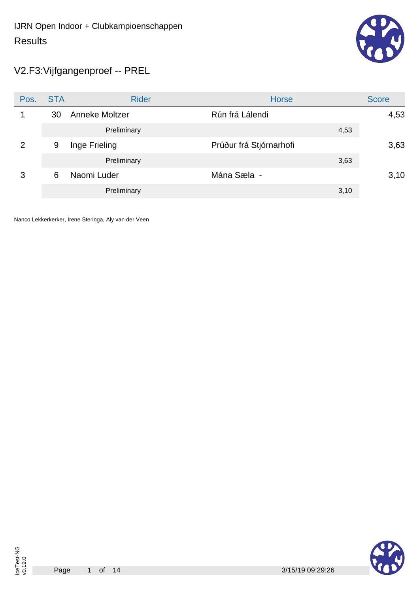

V2.F3:Vijfgangenproef -- PREL

| Pos.           | <b>STA</b> | <b>Rider</b>   | <b>Horse</b>            | <b>Score</b> |
|----------------|------------|----------------|-------------------------|--------------|
|                | 30         | Anneke Moltzer | Rún frá Lálendi         | 4,53         |
|                |            | Preliminary    | 4,53                    |              |
| $\overline{2}$ | 9          | Inge Frieling  | Prúður frá Stjórnarhofi | 3,63         |
|                |            | Preliminary    | 3,63                    |              |
| 3              | 6          | Naomi Luder    | Mána Sæla -             | 3,10         |
|                |            | Preliminary    | 3,10                    |              |

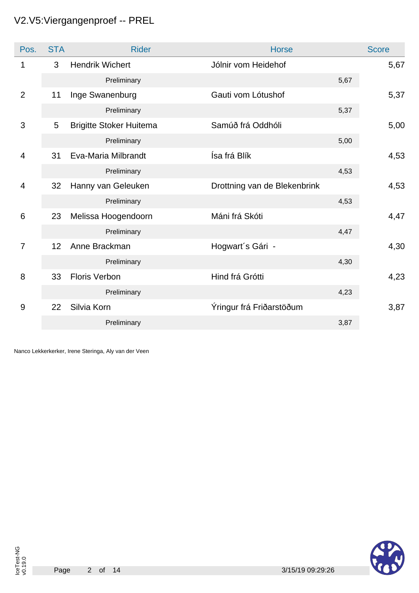# V2.V5:Viergangenproef -- PREL

| Pos.           | <b>STA</b> | <b>Rider</b>                   | <b>Horse</b>                 |      | <b>Score</b> |
|----------------|------------|--------------------------------|------------------------------|------|--------------|
| 1              | 3          | <b>Hendrik Wichert</b>         | Jólnir vom Heidehof          |      | 5,67         |
|                |            | Preliminary                    |                              | 5,67 |              |
| $\overline{2}$ | 11         | Inge Swanenburg                | Gauti vom Lótushof           |      | 5,37         |
|                |            | Preliminary                    |                              | 5,37 |              |
| 3              | 5          | <b>Brigitte Stoker Huitema</b> | Samúð frá Oddhóli            |      | 5,00         |
|                |            | Preliminary                    |                              | 5,00 |              |
| $\overline{4}$ | 31         | Eva-Maria Milbrandt            | Ísa frá Blík                 |      | 4,53         |
|                |            | Preliminary                    |                              | 4,53 |              |
| 4              | 32         | Hanny van Geleuken             | Drottning van de Blekenbrink |      | 4,53         |
|                |            | Preliminary                    |                              | 4,53 |              |
| 6              | 23         | Melissa Hoogendoorn            | Máni frá Skóti               |      | 4,47         |
|                |            | Preliminary                    |                              | 4,47 |              |
| $\overline{7}$ | 12         | Anne Brackman                  | Hogwart's Gári -             |      | 4,30         |
|                |            | Preliminary                    |                              | 4,30 |              |
| 8              | 33         | <b>Floris Verbon</b>           | Hind frá Grótti              |      | 4,23         |
|                |            | Preliminary                    |                              | 4,23 |              |
| 9              | 22         | Silvia Korn                    | Ýringur frá Friðarstöðum     |      | 3,87         |
|                |            | Preliminary                    |                              | 3,87 |              |

Nanco Lekkerkerker, Irene Steringa, Aly van der Veen

IceTest-NG v0.19.0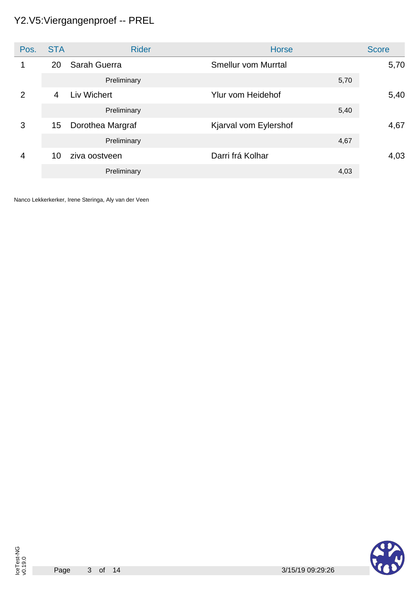# Y2.V5:Viergangenproef -- PREL

| Pos. | <b>STA</b> | <b>Rider</b>     | <b>Horse</b>               | <b>Score</b> |
|------|------------|------------------|----------------------------|--------------|
|      | 20         | Sarah Guerra     | <b>Smellur vom Murrtal</b> | 5,70         |
|      |            | Preliminary      | 5,70                       |              |
| 2    | 4          | Liv Wichert      | Ylur vom Heidehof          | 5,40         |
|      |            | Preliminary      | 5,40                       |              |
| 3    | 15         | Dorothea Margraf | Kjarval vom Eylershof      | 4,67         |
|      |            | Preliminary      | 4,67                       |              |
| 4    | 10         | ziva oostveen    | Darri frá Kolhar           | 4,03         |
|      |            | Preliminary      | 4,03                       |              |

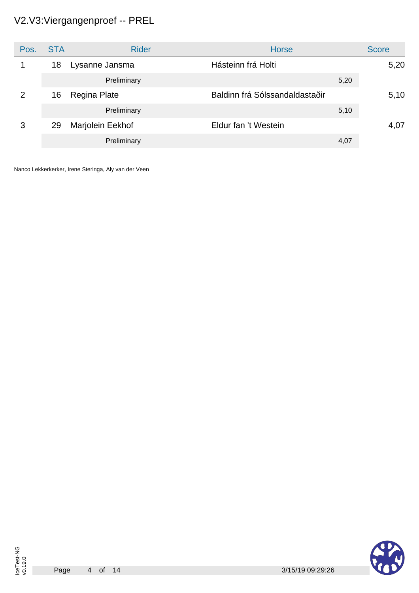# V2.V3:Viergangenproef -- PREL

| Pos. | <b>STA</b> | <b>Rider</b>     | <b>Horse</b>                   | <b>Score</b> |
|------|------------|------------------|--------------------------------|--------------|
|      | 18         | Lysanne Jansma   | Hásteinn frá Holti             | 5,20         |
|      |            | Preliminary      |                                | 5,20         |
| 2    | 16         | Regina Plate     | Baldinn frá Sólssandaldastaðir | 5,10         |
|      |            | Preliminary      |                                | 5,10         |
| 3    | 29         | Marjolein Eekhof | Eldur fan 't Westein           | 4,07         |
|      |            | Preliminary      |                                | 4,07         |

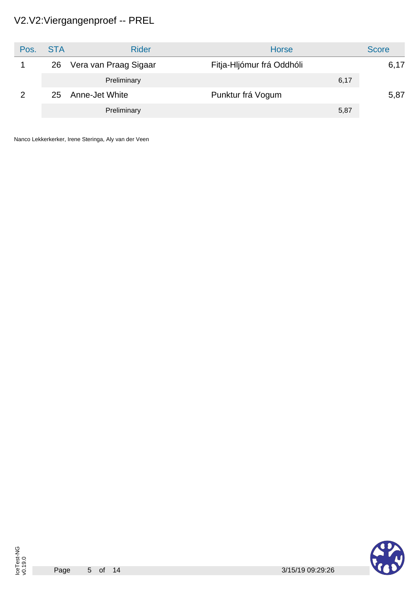# V2.V2:Viergangenproef -- PREL

| Pos. | <b>STA</b> | <b>Rider</b>          | <b>Horse</b>              | <b>Score</b> |
|------|------------|-----------------------|---------------------------|--------------|
|      | 26         | Vera van Praag Sigaar | Fitja-Hljómur frá Oddhóli | 6,17         |
|      |            | Preliminary           | 6,17                      |              |
|      | 25         | Anne-Jet White        | Punktur frá Vogum         | 5,87         |
|      |            | Preliminary           | 5,87                      |              |

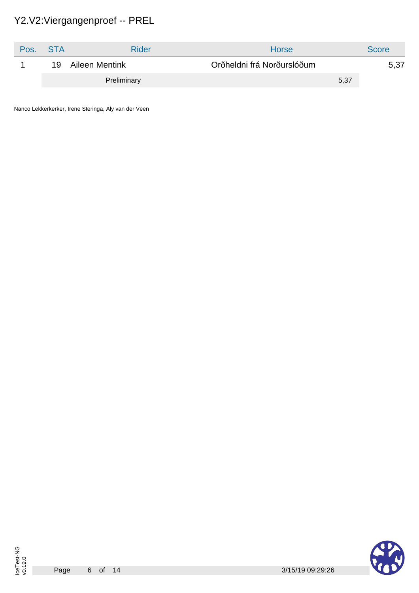# Y2.V2:Viergangenproef -- PREL

| Pos. | - STA | Rider          | <b>Horse</b>               | <b>Score</b> |
|------|-------|----------------|----------------------------|--------------|
|      | 19    | Aileen Mentink | Orðheldni frá Norðurslóðum | 5,37         |
|      |       | Preliminary    | 5,37                       |              |

Nanco Lekkerkerker, Irene Steringa, Aly van der Veen

IceTest-NG v0.19.0

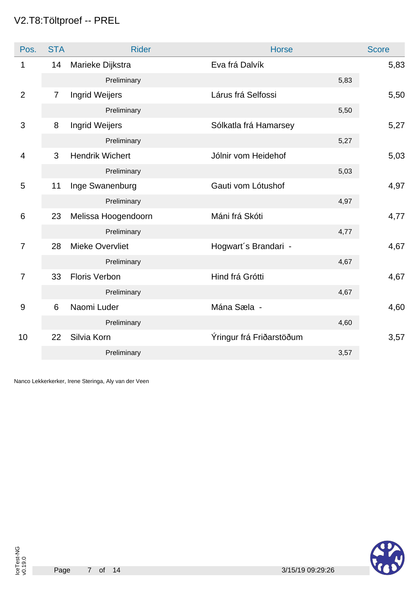# V2.T8:Töltproef -- PREL

| Pos.           | <b>STA</b>     | <b>Rider</b>           | <b>Horse</b>             | <b>Score</b> |
|----------------|----------------|------------------------|--------------------------|--------------|
| $\mathbf{1}$   | 14             | Marieke Dijkstra       | Eva frá Dalvík           | 5,83         |
|                |                | Preliminary            | 5,83                     |              |
| $\overline{2}$ | $\overline{7}$ | <b>Ingrid Weijers</b>  | Lárus frá Selfossi       | 5,50         |
|                |                | Preliminary            | 5,50                     |              |
| 3              | 8              | <b>Ingrid Weijers</b>  | Sólkatla frá Hamarsey    | 5,27         |
|                |                | Preliminary            | 5,27                     |              |
| $\overline{4}$ | 3              | <b>Hendrik Wichert</b> | Jólnir vom Heidehof      | 5,03         |
|                |                | Preliminary            | 5,03                     |              |
| 5              | 11             | Inge Swanenburg        | Gauti vom Lótushof       | 4,97         |
|                |                | Preliminary            | 4,97                     |              |
| 6              | 23             | Melissa Hoogendoorn    | Máni frá Skóti           | 4,77         |
|                |                | Preliminary            | 4,77                     |              |
| $\overline{7}$ | 28             | Mieke Overvliet        | Hogwart's Brandari -     | 4,67         |
|                |                | Preliminary            | 4,67                     |              |
| 7              | 33             | <b>Floris Verbon</b>   | Hind frá Grótti          | 4,67         |
|                |                | Preliminary            | 4,67                     |              |
| 9              | 6              | Naomi Luder            | Mána Sæla -              | 4,60         |
|                |                | Preliminary            | 4,60                     |              |
| 10             | 22             | Silvia Korn            | Ýringur frá Friðarstöðum | 3,57         |
|                |                | Preliminary            | 3,57                     |              |

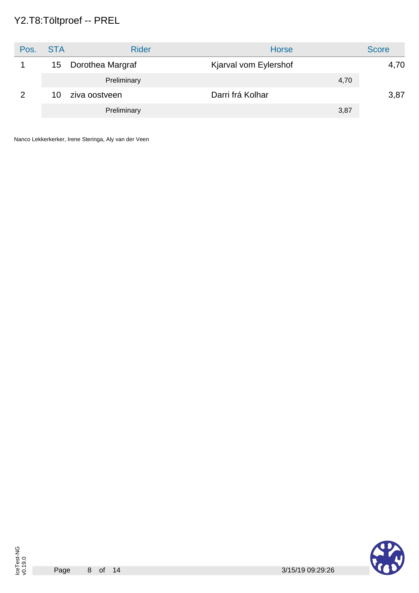# Y2.T8:Töltproef -- PREL

| Pos. | <b>STA</b> | <b>Rider</b>     | Horse                 | <b>Score</b> |
|------|------------|------------------|-----------------------|--------------|
|      | 15         | Dorothea Margraf | Kjarval vom Eylershof | 4,70         |
|      |            | Preliminary      | 4,70                  |              |
| 2    | 10         | ziva oostveen    | Darri frá Kolhar      | 3,87         |
|      |            | Preliminary      | 3,87                  |              |

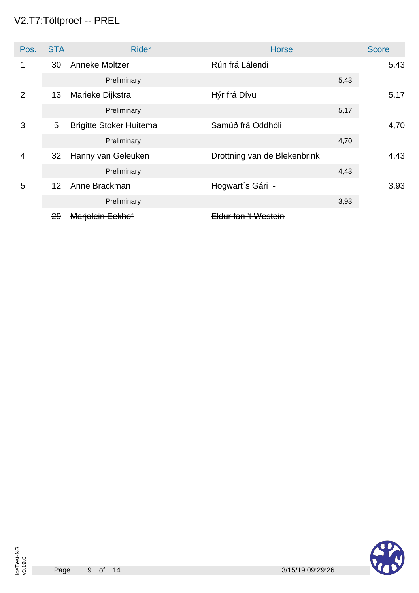# V2.T7:Töltproef -- PREL

| Pos.           | <b>STA</b>      | <b>Rider</b>                   | <b>Horse</b>                    | <b>Score</b> |
|----------------|-----------------|--------------------------------|---------------------------------|--------------|
|                | 30              | Anneke Moltzer                 | Rún frá Lálendi                 | 5,43         |
|                |                 | Preliminary                    |                                 | 5,43         |
| $\overline{2}$ | 13              | Marieke Dijkstra               | Hýr frá Dívu                    | 5,17         |
|                |                 | Preliminary                    |                                 | 5,17         |
| 3              | 5               | <b>Brigitte Stoker Huitema</b> | Samúð frá Oddhóli               | 4,70         |
|                |                 | Preliminary                    |                                 | 4,70         |
| $\overline{4}$ | 32              | Hanny van Geleuken             | Drottning van de Blekenbrink    | 4,43         |
|                |                 | Preliminary                    |                                 | 4,43         |
| 5              | 12 <sup>2</sup> | Anne Brackman                  | Hogwart's Gári -                | 3,93         |
|                |                 | Preliminary                    |                                 | 3,93         |
|                | 29              | <del>Marjolein Eekhof</del>    | <del>Eldur fan 't Westein</del> |              |

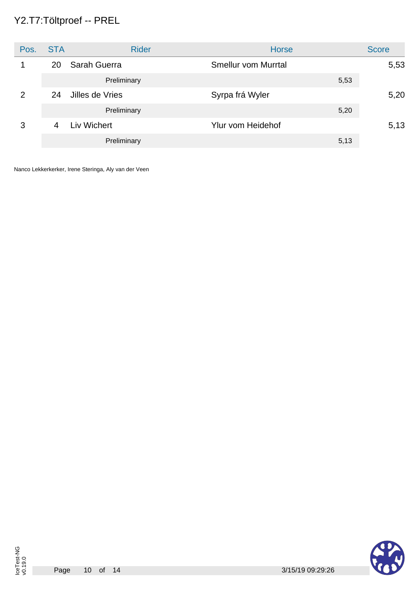# Y2.T7:Töltproef -- PREL

| Pos. | <b>STA</b> | <b>Rider</b>    | <b>Horse</b>             | <b>Score</b> |
|------|------------|-----------------|--------------------------|--------------|
|      | 20         | Sarah Guerra    | Smellur vom Murrtal      | 5,53         |
|      |            | Preliminary     | 5,53                     |              |
| 2    | 24         | Jilles de Vries | Syrpa frá Wyler          | 5,20         |
|      |            | Preliminary     | 5,20                     |              |
| 3    | 4          | Liv Wichert     | <b>Ylur vom Heidehof</b> | 5,13         |
|      |            | Preliminary     | 5,13                     |              |

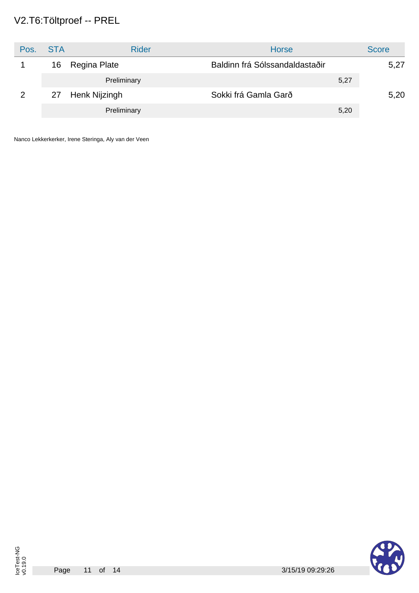# V2.T6:Töltproef -- PREL

| Pos. | <b>STA</b> | <b>Rider</b>  | <b>Horse</b>                   |      | <b>Score</b> |
|------|------------|---------------|--------------------------------|------|--------------|
|      | 16         | Regina Plate  | Baldinn frá Sólssandaldastaðir |      | 5,27         |
|      |            | Preliminary   |                                | 5,27 |              |
|      | 27         | Henk Nijzingh | Sokki frá Gamla Garð           |      | 5,20         |
|      |            | Preliminary   |                                | 5,20 |              |

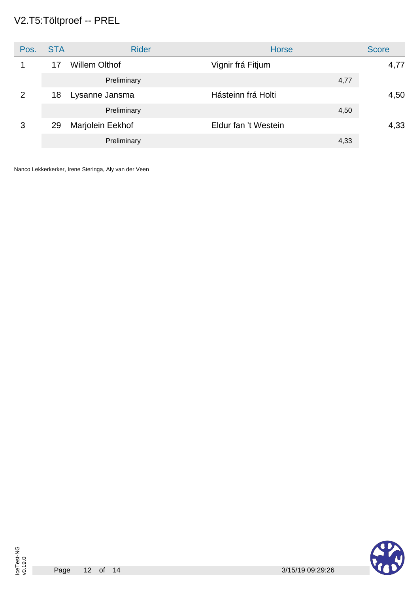# V2.T5:Töltproef -- PREL

| Pos. | <b>STA</b> | <b>Rider</b>         | <b>Horse</b>         | <b>Score</b> |
|------|------------|----------------------|----------------------|--------------|
|      | 17         | <b>Willem Olthof</b> | Vignir frá Fitjum    | 4,77         |
|      |            | Preliminary          | 4,77                 |              |
| 2    | 18         | Lysanne Jansma       | Hásteinn frá Holti   | 4,50         |
|      |            | Preliminary          | 4,50                 |              |
| 3    | 29         | Marjolein Eekhof     | Eldur fan 't Westein | 4,33         |
|      |            | Preliminary          | 4,33                 |              |

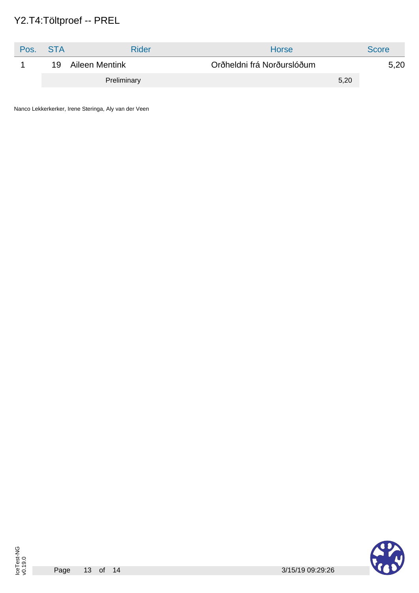# Y2.T4:Töltproef -- PREL

| Pos. | <b>STA</b> | Rider          | <b>Horse</b>               | <b>Score</b> |
|------|------------|----------------|----------------------------|--------------|
|      | 19         | Aileen Mentink | Orðheldni frá Norðurslóðum | 5,20         |
|      |            | Preliminary    | 5,20                       |              |

Nanco Lekkerkerker, Irene Steringa, Aly van der Veen

Page

IceTest-NG v0.19.0